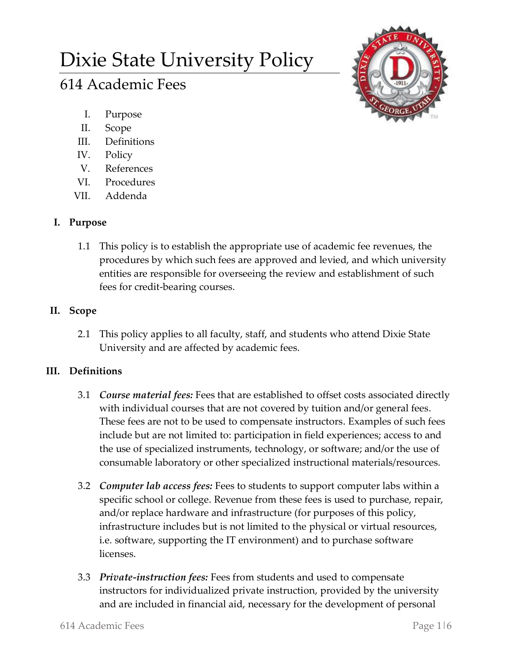# Dixie State University Policy

# 614 Academic Fees

- I. Purpose
- II. Scope
- III. Definitions
- IV. Policy
- V. References
- VI. Procedures
- VII. Addenda

# **I. Purpose**

1.1 This policy is to establish the appropriate use of academic fee revenues, the procedures by which such fees are approved and levied, and which university entities are responsible for overseeing the review and establishment of such fees for credit-bearing courses.

# **II. Scope**

2.1 This policy applies to all faculty, staff, and students who attend Dixie State University and are affected by academic fees.

# **III. Definitions**

- 3.1 *Course material fees:* Fees that are established to offset costs associated directly with individual courses that are not covered by tuition and/or general fees. These fees are not to be used to compensate instructors. Examples of such fees include but are not limited to: participation in field experiences; access to and the use of specialized instruments, technology, or software; and/or the use of consumable laboratory or other specialized instructional materials/resources.
- 3.2 *Computer lab access fees:* Fees to students to support computer labs within a specific school or college. Revenue from these fees is used to purchase, repair, and/or replace hardware and infrastructure (for purposes of this policy, infrastructure includes but is not limited to the physical or virtual resources, i.e. software, supporting the IT environment) and to purchase software licenses.
- 3.3 *Private-instruction fees:* Fees from students and used to compensate instructors for individualized private instruction, provided by the university and are included in financial aid, necessary for the development of personal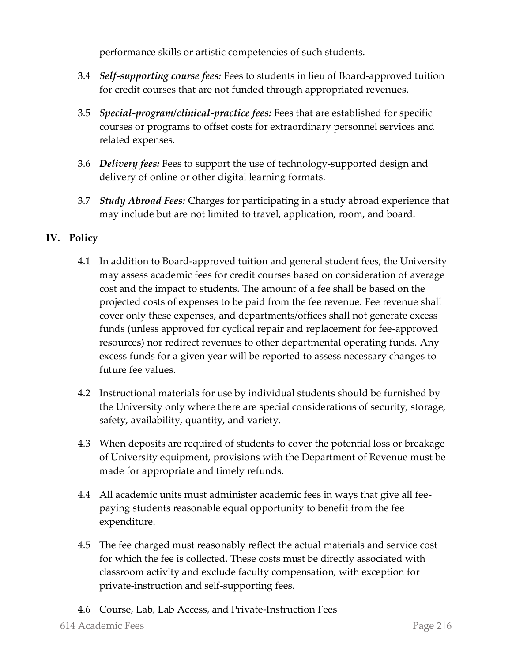performance skills or artistic competencies of such students.

- 3.4 *Self-supporting course fees:* Fees to students in lieu of Board-approved tuition for credit courses that are not funded through appropriated revenues.
- 3.5 *Special-program/clinical-practice fees:* Fees that are established for specific courses or programs to offset costs for extraordinary personnel services and related expenses.
- 3.6 *Delivery fees:* Fees to support the use of technology-supported design and delivery of online or other digital learning formats.
- 3.7 *Study Abroad Fees:* Charges for participating in a study abroad experience that may include but are not limited to travel, application, room, and board.

### **IV. Policy**

- 4.1 In addition to Board-approved tuition and general student fees, the University may assess academic fees for credit courses based on consideration of average cost and the impact to students. The amount of a fee shall be based on the projected costs of expenses to be paid from the fee revenue. Fee revenue shall cover only these expenses, and departments/offices shall not generate excess funds (unless approved for cyclical repair and replacement for fee-approved resources) nor redirect revenues to other departmental operating funds. Any excess funds for a given year will be reported to assess necessary changes to future fee values.
- 4.2 Instructional materials for use by individual students should be furnished by the University only where there are special considerations of security, storage, safety, availability, quantity, and variety.
- 4.3 When deposits are required of students to cover the potential loss or breakage of University equipment, provisions with the Department of Revenue must be made for appropriate and timely refunds.
- 4.4 All academic units must administer academic fees in ways that give all feepaying students reasonable equal opportunity to benefit from the fee expenditure.
- 4.5 The fee charged must reasonably reflect the actual materials and service cost for which the fee is collected. These costs must be directly associated with classroom activity and exclude faculty compensation, with exception for private-instruction and self-supporting fees.
- 4.6 Course, Lab, Lab Access, and Private-Instruction Fees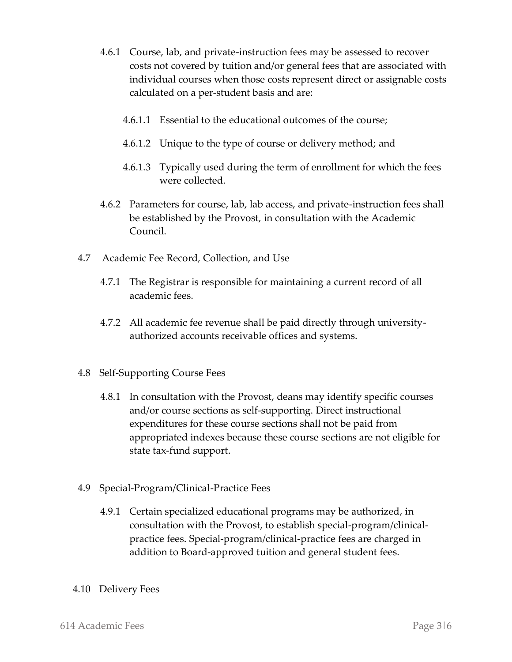- 4.6.1 Course, lab, and private-instruction fees may be assessed to recover costs not covered by tuition and/or general fees that are associated with individual courses when those costs represent direct or assignable costs calculated on a per-student basis and are:
	- 4.6.1.1 Essential to the educational outcomes of the course;
	- 4.6.1.2 Unique to the type of course or delivery method; and
	- 4.6.1.3 Typically used during the term of enrollment for which the fees were collected.
- 4.6.2 Parameters for course, lab, lab access, and private-instruction fees shall be established by the Provost, in consultation with the Academic Council.
- 4.7 Academic Fee Record, Collection, and Use
	- 4.7.1 The Registrar is responsible for maintaining a current record of all academic fees.
	- 4.7.2 All academic fee revenue shall be paid directly through universityauthorized accounts receivable offices and systems.
- 4.8 Self-Supporting Course Fees
	- 4.8.1 In consultation with the Provost, deans may identify specific courses and/or course sections as self-supporting. Direct instructional expenditures for these course sections shall not be paid from appropriated indexes because these course sections are not eligible for state tax-fund support.
- 4.9 Special-Program/Clinical-Practice Fees
	- 4.9.1 Certain specialized educational programs may be authorized, in consultation with the Provost, to establish special-program/clinicalpractice fees. Special-program/clinical-practice fees are charged in addition to Board-approved tuition and general student fees.
- 4.10 Delivery Fees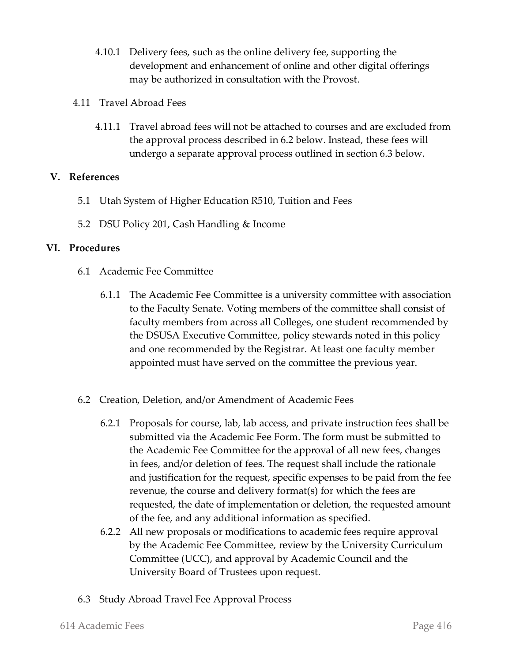- 4.10.1 Delivery fees, such as the online delivery fee, supporting the development and enhancement of online and other digital offerings may be authorized in consultation with the Provost.
- 4.11 Travel Abroad Fees
	- 4.11.1 Travel abroad fees will not be attached to courses and are excluded from the approval process described in 6.2 below. Instead, these fees will undergo a separate approval process outlined in section 6.3 below.

#### **V. References**

- 5.1 Utah System of Higher Education R510, Tuition and Fees
- 5.2 DSU Policy 201, Cash Handling & Income

#### **VI. Procedures**

- 6.1 Academic Fee Committee
	- 6.1.1 The Academic Fee Committee is a university committee with association to the Faculty Senate. Voting members of the committee shall consist of faculty members from across all Colleges, one student recommended by the DSUSA Executive Committee, policy stewards noted in this policy and one recommended by the Registrar. At least one faculty member appointed must have served on the committee the previous year.
- 6.2 Creation, Deletion, and/or Amendment of Academic Fees
	- 6.2.1 Proposals for course, lab, lab access, and private instruction fees shall be submitted via the Academic Fee Form. The form must be submitted to the Academic Fee Committee for the approval of all new fees, changes in fees, and/or deletion of fees. The request shall include the rationale and justification for the request, specific expenses to be paid from the fee revenue, the course and delivery format(s) for which the fees are requested, the date of implementation or deletion, the requested amount of the fee, and any additional information as specified.
	- 6.2.2 All new proposals or modifications to academic fees require approval by the Academic Fee Committee, review by the University Curriculum Committee (UCC), and approval by Academic Council and the University Board of Trustees upon request.
- 6.3 Study Abroad Travel Fee Approval Process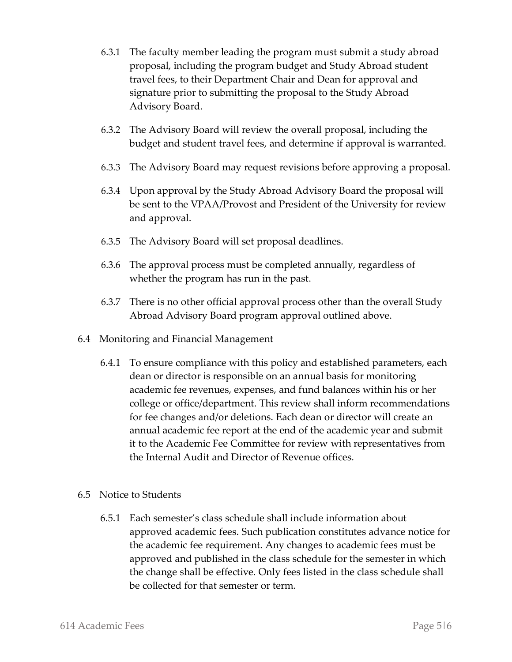- 6.3.1 The faculty member leading the program must submit a study abroad proposal, including the program budget and Study Abroad student travel fees, to their Department Chair and Dean for approval and signature prior to submitting the proposal to the Study Abroad Advisory Board.
- 6.3.2 The Advisory Board will review the overall proposal, including the budget and student travel fees, and determine if approval is warranted.
- 6.3.3 The Advisory Board may request revisions before approving a proposal.
- 6.3.4 Upon approval by the Study Abroad Advisory Board the proposal will be sent to the VPAA/Provost and President of the University for review and approval.
- 6.3.5 The Advisory Board will set proposal deadlines.
- 6.3.6 The approval process must be completed annually, regardless of whether the program has run in the past.
- 6.3.7 There is no other official approval process other than the overall Study Abroad Advisory Board program approval outlined above.
- 6.4 Monitoring and Financial Management
	- 6.4.1 To ensure compliance with this policy and established parameters, each dean or director is responsible on an annual basis for monitoring academic fee revenues, expenses, and fund balances within his or her college or office/department. This review shall inform recommendations for fee changes and/or deletions. Each dean or director will create an annual academic fee report at the end of the academic year and submit it to the Academic Fee Committee for review with representatives from the Internal Audit and Director of Revenue offices.
- 6.5 Notice to Students
	- 6.5.1 Each semester's class schedule shall include information about approved academic fees. Such publication constitutes advance notice for the academic fee requirement. Any changes to academic fees must be approved and published in the class schedule for the semester in which the change shall be effective. Only fees listed in the class schedule shall be collected for that semester or term.